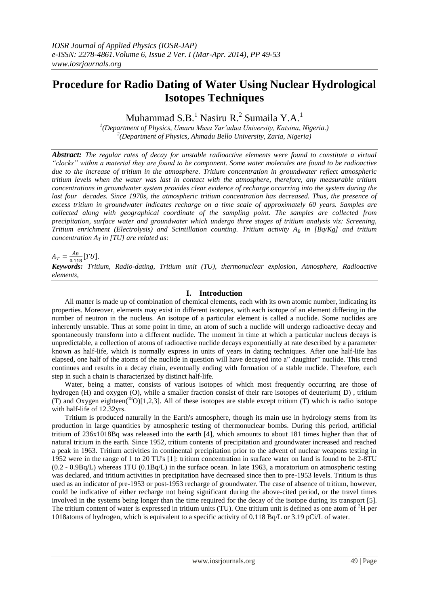# **Procedure for Radio Dating of Water Using Nuclear Hydrological Isotopes Techniques**

Muhammad S.B.<sup>1</sup> Nasiru R.<sup>2</sup> Sumaila Y.A.<sup>1</sup>

*1 (Department of Physics, Umaru Musa Yar'adua University, Katsina, Nigeria.) 2 (Department of Physics, Ahmadu Bello University, Zaria, Nigeria)*

*Abstract: The regular rates of decay for unstable radioactive elements were found to constitute a virtual "clocks" within a material they are found to be component. Some water molecules are found to be radioactive due to the increase of tritium in the atmosphere. Tritium concentration in groundwater reflect atmospheric tritium levels when the water was last in contact with the atmosphere, therefore, any measurable tritium concentrations in groundwater system provides clear evidence of recharge occurring into the system during the last four decades. Since 1970s, the atmospheric tritium concentration has decreased. Thus, the presence of excess tritium in groundwater indicates recharge on a time scale of approximately 60 years. Samples are collected along with geographical coordinate of the sampling point. The samples are collected from precipitation, surface water and groundwater which undergo three stages of tritium analysis viz: Screening, Tritium enrichment (Electrolysis) and Scintillation counting. Tritium activity A<sup>B</sup> in [Bq/Kg] and tritium concentration*  $A_T$  *in [TU] are related as:* 

 $A_T = \frac{A}{24}$  $\frac{A_B}{0.118} [TU].$ 

*Keywords: Tritium, Radio-dating, Tritium unit (TU), thermonuclear explosion, Atmosphere, Radioactive elements,*

# **I. Introduction**

All matter is made up of combination of chemical elements, each with its own atomic number, indicating its properties. Moreover, elements may exist in different isotopes, with each isotope of an element differing in the number of neutron in the nucleus. An isotope of a particular element is called a nuclide. Some nuclides are inherently unstable. Thus at some point in time, an atom of such a nuclide will undergo radioactive decay and spontaneously transform into a different nuclide. The moment in time at which a particular nucleus decays is unpredictable, a collection of atoms of radioactive nuclide decays exponentially at rate described by a parameter known as half-life, which is normally express in units of years in dating techniques. After one half-life has elapsed, one half of the atoms of the nuclide in question will have decayed into a" daughter" nuclide. This trend continues and results in a decay chain, eventually ending with formation of a stable nuclide. Therefore, each step in such a chain is characterized by distinct half-life.

Water, being a matter, consists of various isotopes of which most frequently occurring are those of hydrogen (H) and oxygen (O), while a smaller fraction consist of their rare isotopes of deuterium( D) , tritium (T) and Oxygen eighteen( ${}^{18}O$ )[1,2,3]. All of these isotopes are stable except tritium (T) which is radio isotope with half-life of 12.32yrs.

Tritium is produced naturally in the Earth's atmosphere, though its main use in hydrology stems from its production in large quantities by atmospheric testing of thermonuclear bombs. During this period, artificial tritium of 236x1018Bq was released into the earth [4], which amounts to about 181 times higher than that of natural tritium in the earth. Since 1952, tritium contents of precipitation and groundwater increased and reached a peak in 1963. Tritium activities in continental precipitation prior to the advent of nuclear weapons testing in 1952 were in the range of 1 to 20 TU's [1]: tritium concentration in surface water on land is found to be 2-8TU (0.2 - 0.9Bq/L) whereas 1TU (0.1Bq/L) in the surface ocean. In late 1963, a moratorium on atmospheric testing was declared, and tritium activities in precipitation have decreased since then to pre-1953 levels. Tritium is thus used as an indicator of pre-1953 or post-1953 recharge of groundwater. The case of absence of tritium, however, could be indicative of either recharge not being significant during the above-cited period, or the travel times involved in the systems being longer than the time required for the decay of the isotope during its transport [5]. The tritium content of water is expressed in tritium units (TU). One tritium unit is defined as one atom of  ${}^{3}H$  per 1018atoms of hydrogen, which is equivalent to a specific activity of 0.118 Bq/L or 3.19 pCi/L of water.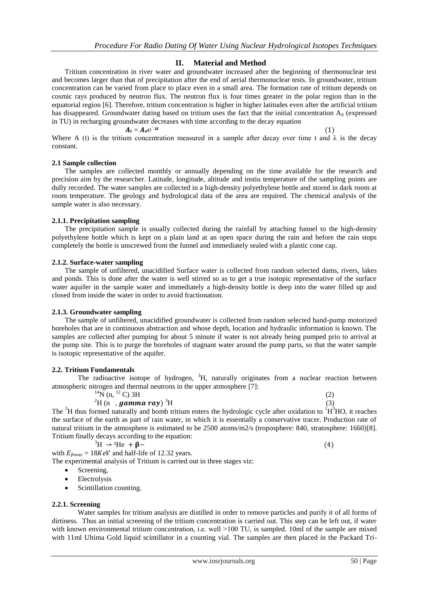# **II. Material and Method**

Tritium concentration in river water and groundwater increased after the beginning of thermonuclear test and becomes larger than that of precipitation after the end of aerial thermonuclear tests. In groundwater, tritium concentration can be varied from place to place even in a small area. The formation rate of tritium depends on cosmic rays produced by neutron flux. The neutron flux is four times greater in the polar region than in the equatorial region [6]. Therefore, tritium concentration is higher in higher latitudes even after the artificial tritium has disappeared. Groundwater dating based on tritium uses the fact that the initial concentration  $A_0$  (expressed in TU) in recharging groundwater decreases with time according to the decay equation

$$
A_t = A_0 e^{-\lambda t}
$$
 (1)

Where A (t) is the tritium concentration measured in a sample after decay over time t and  $\lambda$  is the decay constant.

#### **2.1 Sample collection**

The samples are collected monthly or annually depending on the time available for the research and precision aim by the researcher. Latitude, longitude, altitude and instiu temperature of the sampling points are dully recorded. The water samples are collected in a high-density polyethylene bottle and stored in dark room at room temperature. The geology and hydrological data of the area are required. The chemical analysis of the sample water is also necessary.

### **2.1.1. Precipitation sampling**

The precipitation sample is usually collected during the rainfall by attaching funnel to the high-density polyethylene bottle which is kept on a plain land at an open space during the rain and before the rain stops completely the bottle is unscrewed from the funnel and immediately sealed with a plastic cone cap.

#### **2.1.2. Surface-water sampling**

The sample of unfiltered, unacidified Surface water is collected from random selected dams, rivers, lakes and ponds. This is done after the water is well stirred so as to get a true isotopic representative of the surface water aquifer in the sample water and immediately a high-density bottle is deep into the water filled up and closed from inside the water in order to avoid fractionation.

# **2.1.3. Groundwater sampling**

The sample of unfiltered, unacidified groundwater is collected from random selected hand-pump motorized boreholes that are in continuous abstraction and whose depth, location and hydraulic information is known. The samples are collected after pumping for about 5 minute if water is not already being pumped prio to arrival at the pump site. This is to purge the boreholes of stagnant water around the pump parts, so that the water sample is isotopic representative of the aquifer.

# **2.2. Tritium Fundamentals**

The radioactive isotope of hydrogen,  ${}^{3}H$ , naturally originates from a nuclear reaction between atmospheric nitrogen and thermal neutrons in the upper atmosphere [7]:

 $^{14}$ N (n,  $^{12}$  C) 3H (2)

$$
{}^{2}H \text{ (n } , \text{ gamma ray)} \, {}^{3}H \tag{3}
$$

The  ${}^{3}$ H thus formed naturally and bomb tritium enters the hydrologic cycle after oxidation to  ${}^{1}H^{3}$ HO, it reaches the surface of the earth as part of rain water, in which it is essentially a conservative tracer. Production rate of natural tritium in the atmosphere is estimated to be 2500 atoms/m2/s (troposphere: 840, stratosphere: 1660)[8]. Tritium finally decays according to the equation:

 ${}^{3}\text{H} \rightarrow {}^{3}\text{He} + \beta -$  (4)

with  $E_{\beta max} = 18 KeV$  and half-life of 12.32 years. The experimental analysis of Tritium is carried out in three stages viz:

- Screening,
- Electrolysis
- Scintillation counting.

# **2.2.1. Screening**

Water samples for tritium analysis are distilled in order to remove particles and purify it of all forms of dirtiness. Thus an initial screening of the tritium concentration is carried out. This step can be left out, if water with known environmental tritium concentration, i.e. well  $>100$  TU, is sampled. 10ml of the sample are mixed with 11ml Ultima Gold liquid scintillator in a counting vial. The samples are then placed in the Packard Tri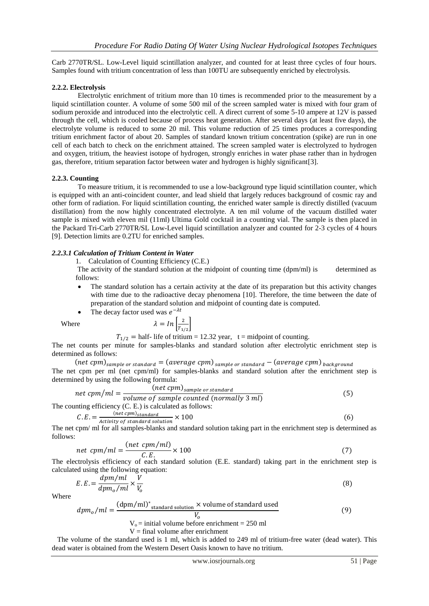Carb 2770TR/SL. Low-Level liquid scintillation analyzer, and counted for at least three cycles of four hours. Samples found with tritium concentration of less than 100TU are subsequently enriched by electrolysis.

# **2.2.2. Electrolysis**

Electrolytic enrichment of tritium more than 10 times is recommended prior to the measurement by a liquid scintillation counter. A volume of some 500 mil of the screen sampled water is mixed with four gram of sodium peroxide and introduced into the electrolytic cell. A direct current of some 5-10 ampere at 12V is passed through the cell, which is cooled because of process heat generation. After several days (at least five days), the electrolyte volume is reduced to some 20 mil. This volume reduction of 25 times produces a corresponding tritium enrichment factor of about 20. Samples of standard known tritium concentration (spike) are run in one cell of each batch to check on the enrichment attained. The screen sampled water is electrolyzed to hydrogen and oxygen, tritium, the heaviest isotope of hydrogen, strongly enriches in water phase rather than in hydrogen gas, therefore, tritium separation factor between water and hydrogen is highly significant[3].

# **2.2.3. Counting**

To measure tritium, it is recommended to use a low-background type liquid scintillation counter, which is equipped with an anti-coincident counter, and lead shield that largely reduces background of cosmic ray and other form of radiation. For liquid scintillation counting, the enriched water sample is directly distilled (vacuum distillation) from the now highly concentrated electrolyte. A ten mil volume of the vacuum distilled water sample is mixed with eleven mil (11ml) Ultima Gold cocktail in a counting vial. The sample is then placed in the Packard Tri-Carb 2770TR/SL Low-Level liquid scintillation analyzer and counted for 2-3 cycles of 4 hours [9]. Detection limits are 0.2TU for enriched samples.

# *2.2.3.1 Calculation of Tritium Content in Water*

1. Calculation of Counting Efficiency (C.E.)

The activity of the standard solution at the midpoint of counting time (dpm/ml) is determined as follows:

- The standard solution has a certain activity at the date of its preparation but this activity changes with time due to the radioactive decay phenomena [10]. Therefore, the time between the date of preparation of the standard solution and midpoint of counting date is computed.
- $\bullet$  The decay factor  $- \lambda t$

Where

or used was 
$$
e
$$
  

$$
\lambda = \ln \left[ \frac{2}{T_{1/2}} \right]
$$

 $T_{1/2}$  = half- life of tritium = 12.32 year, t = midpoint of counting.

The net counts per minute for samples-blanks and standard solution after electrolytic enrichment step is determined as follows:

(net cpm)<sub>sample</sub> or standard = (average cpm)  $_{sample\ or\ standard}$  – (average cpm)  $_{background}$ The net cpm per ml (net cpm/ml) for samples-blanks and standard solution after the enrichment step is determined by using the following formula:

$$
net\;cpm/ml = \frac{(net\;cpm)_{sample\;or\;standard}}{volume\;of\;sample\;counted\;(normally\;3\;ml)}
$$
\n
$$
(5)
$$

The counting efficiency (C. E.) is calculated as follows:

$$
C.E. = \frac{(net\,cpm)_{standard}}{Activity\ of\ standard\ solution} \times 100\tag{6}
$$

The net cpm/ ml for all samples-blanks and standard solution taking part in the enrichment step is determined as follows:

$$
net\;cpm/ml = \frac{(net\;cpm/ml)}{C.E.} \times 100\tag{7}
$$

The electrolysis efficiency of each standard solution (E.E. standard) taking part in the enrichment step is calculated using the following equation:

$$
E.E. = \frac{dpm/ml}{dpm_o/ml} \times \frac{V}{V_o}
$$
\n(8)

Where

$$
dpm_o/ml = \frac{(dpm/ml)^*_{standard solution} \times volume of standard used V_o}{V_o = initial volume before enrichment = 250 ml}
$$
\n
$$
V = final volume after enrichment
$$
\n(9)

 The volume of the standard used is 1 ml, which is added to 249 ml of tritium-free water (dead water). This dead water is obtained from the Western Desert Oasis known to have no tritium.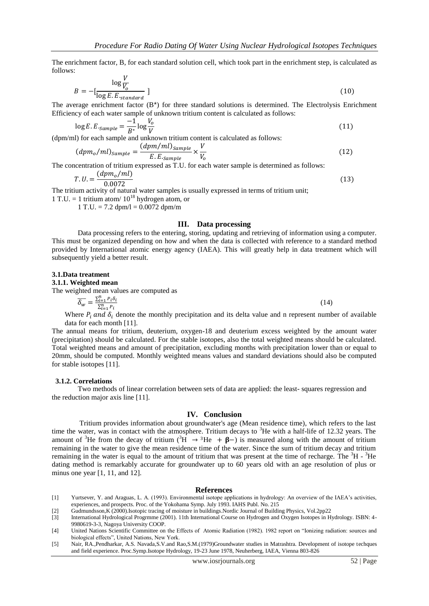The enrichment factor, B, for each standard solution cell, which took part in the enrichment step, is calculated as follows:

$$
B = -\left[\frac{\log \frac{V}{V_o}}{\log E.E_{standard}}\right]
$$
 (10)

The average enrichment factor  $(B^*)$  for three standard solutions is determined. The Electrolysis Enrichment Efficiency of each water sample of unknown tritium content is calculated as follows:

$$
\log E.E_{sample} = \frac{-1}{B^*} \log \frac{V_o}{V}
$$
\n(11)

(dpm/ml) for each sample and unknown tritium content is calculated as follows:

$$
(dpmo/ml)sample = \frac{(dpm/ml)sample}{E.E.sample} \times \frac{V}{V_o}
$$
 (12)

The concentration of tritium expressed as T.U. for each water sample is determined as follows:

$$
T.U. = \frac{(dpm_o/ml)}{0.0072} \tag{13}
$$

The tritium activity of natural water samples is usually expressed in terms of tritium unit;

1 T.U. = 1 tritium atom/  $10^{18}$  hydrogen atom, or

 $1 T.U. = 7.2$  dpm/l = 0.0072 dpm/m

### **III. Data processing**

Data processing refers to the entering, storing, updating and retrieving of information using a computer. This must be organized depending on how and when the data is collected with reference to a standard method provided by International atomic energy agency (IAEA). This will greatly help in data treatment which will subsequently yield a better result.

#### **3.1.Data treatment**

#### **3.1.1. Weighted mean**

The weighted mean values are computed as

 $\overline{\delta_w} = \frac{\sum_{i=1}^n P_i}{\sum_{i=1}^n P_i}$ (14)

Where  $P_i$  and  $\delta_i$  denote the monthly precipitation and its delta value and n represent number of available data for each month [11].

The annual means for tritium, deuterium, oxygen-18 and deuterium excess weighted by the amount water (precipitation) should be calculated. For the stable isotopes, also the total weighted means should be calculated. Total weighted means and amount of precipitation, excluding months with precipitation lower than or equal to 20mm, should be computed. Monthly weighted means values and standard deviations should also be computed for stable isotopes [11].

#### **3.1.2. Correlations**

Two methods of linear correlation between sets of data are applied: the least- squares regression and the reduction major axis line [11].

#### **IV. Conclusion**

Tritium provides information about groundwater's age (Mean residence time), which refers to the last time the water, was in contact with the atmosphere. Tritium decays to  ${}^{3}$ He with a half-life of 12.32 years. The amount of <sup>3</sup>He from the decay of tritium ( ${}^{3}H \rightarrow {}^{3}He + \beta -$ ) is measured along with the amount of tritium remaining in the water to give the mean residence time of the water. Since the sum of tritium decay and tritium remaining in the water is equal to the amount of tritium that was present at the time of recharge. The  ${}^{3}$ H -  ${}^{3}$ He dating method is remarkably accurate for groundwater up to 60 years old with an age resolution of plus or minus one year [1, 11, and 12].

#### **References**

- [1] Yurtsever, Y. and Araguas, L. A. (1993). Environmental isotope applications in hydrology: An overview of the IAEA's activities, experiences, and prospects. Proc. of the Yokohama Symp. July 1993. IAHS Publ. No. 215
- [2] Gudmundsson,K (2000).Isotopic tracing of moisture in buildings.Nordic Journal of Building Physics, Vol.2pp22

[5] Nair, RA.,Pendharkar, A.S. Navada,S.V.and Rao,S.M.(1979)Groundwater studies in Matrashtra. Development of isotope techques and field experience. Proc.Symp.Isotope Hydrology, 19-23 June 1978, Neuherberg, IAEA, Vienna 803-826

<sup>[3]</sup> International Hydrological Progrmme (2001). 11th International Course on Hydrogen and Oxygen Isotopes in Hydrology. ISBN: 4- 9980619-3-3, Nagoya University COOP.

<sup>[4]</sup> United Nations Scientific Committee on the Effects of Atomic Radiation (1982). 1982 report on "Ionizing radiation: sources and biological effects", United Nations, New York.